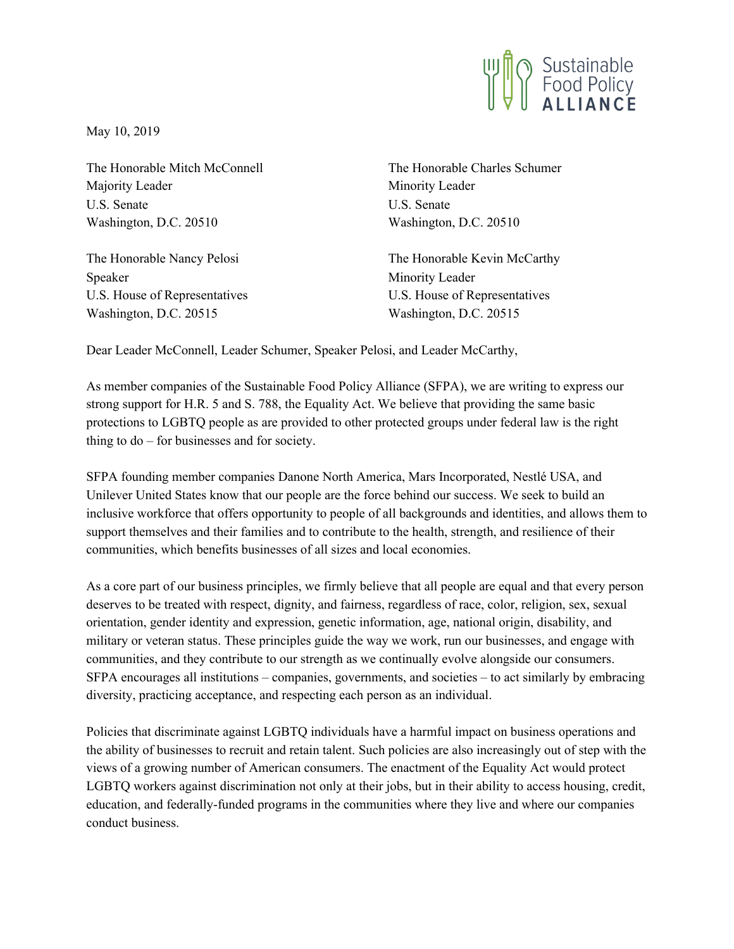

May 10, 2019

The Honorable Mitch McConnell Majority Leader U.S. Senate Washington, D.C. 20510

The Honorable Nancy Pelosi Speaker U.S. House of Representatives Washington, D.C. 20515

The Honorable Charles Schumer Minority Leader U.S. Senate Washington, D.C. 20510

The Honorable Kevin McCarthy Minority Leader U.S. House of Representatives Washington, D.C. 20515

Dear Leader McConnell, Leader Schumer, Speaker Pelosi, and Leader McCarthy,

As member companies of the Sustainable Food Policy Alliance (SFPA), we are writing to express our strong support for H.R. 5 and S. 788, the Equality Act. We believe that providing the same basic protections to LGBTQ people as are provided to other protected groups under federal law is the right thing to do – for businesses and for society.

SFPA founding member companies Danone North America, Mars Incorporated, Nestlé USA, and Unilever United States know that our people are the force behind our success. We seek to build an inclusive workforce that offers opportunity to people of all backgrounds and identities, and allows them to support themselves and their families and to contribute to the health, strength, and resilience of their communities, which benefits businesses of all sizes and local economies.

As a core part of our business principles, we firmly believe that all people are equal and that every person deserves to be treated with respect, dignity, and fairness, regardless of race, color, religion, sex, sexual orientation, gender identity and expression, genetic information, age, national origin, disability, and military or veteran status. These principles guide the way we work, run our businesses, and engage with communities, and they contribute to our strength as we continually evolve alongside our consumers. SFPA encourages all institutions – companies, governments, and societies – to act similarly by embracing diversity, practicing acceptance, and respecting each person as an individual.

Policies that discriminate against LGBTQ individuals have a harmful impact on business operations and the ability of businesses to recruit and retain talent. Such policies are also increasingly out of step with the views of a growing number of American consumers. The enactment of the Equality Act would protect LGBTQ workers against discrimination not only at their jobs, but in their ability to access housing, credit, education, and federally-funded programs in the communities where they live and where our companies conduct business.